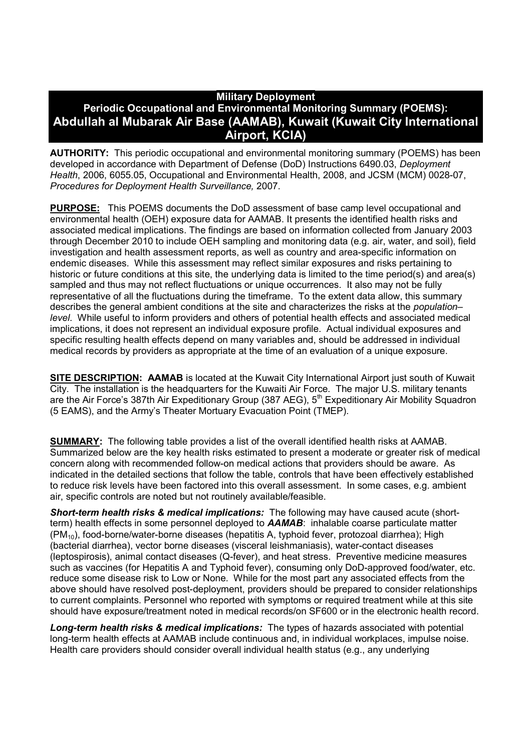# **Military Deployment Periodic Occupational and Environmental Monitoring Summary (POEMS): Abdullah al Mubarak Air Base (AAMAB), Kuwait (Kuwait City International Airport, KCIA)**

**AUTHORITY:** This periodic occupational and environmental monitoring summary (POEMS) has been developed in accordance with Department of Defense (DoD) Instructions 6490.03, *Deployment Health*, 2006, 6055.05, Occupational and Environmental Health, 2008, and JCSM (MCM) 0028-07, *Procedures for Deployment Health Surveillance,* 2007.

**PURPOSE:** This POEMS documents the DoD assessment of base camp level occupational and environmental health (OEH) exposure data for AAMAB. It presents the identified health risks and associated medical implications. The findings are based on information collected from January 2003 through December 2010 to include OEH sampling and monitoring data (e.g. air, water, and soil), field investigation and health assessment reports, as well as country and area-specific information on endemic diseases. While this assessment may reflect similar exposures and risks pertaining to historic or future conditions at this site, the underlying data is limited to the time period(s) and area(s) sampled and thus may not reflect fluctuations or unique occurrences. It also may not be fully representative of all the fluctuations during the timeframe. To the extent data allow, this summary describes the general ambient conditions at the site and characterizes the risks at the *population– level*. While useful to inform providers and others of potential health effects and associated medical implications, it does not represent an individual exposure profile. Actual individual exposures and specific resulting health effects depend on many variables and, should be addressed in individual medical records by providers as appropriate at the time of an evaluation of a unique exposure.

**SITE DESCRIPTION: AAMAB** is located at the Kuwait City International Airport just south of Kuwait City. The installation is the headquarters for the Kuwaiti Air Force. The major U.S. military tenants are the Air Force's 387th Air Expeditionary Group (387 AEG), 5<sup>th</sup> Expeditionary Air Mobility Squadron (5 EAMS), and the Army's Theater Mortuary Evacuation Point (TMEP).

**SUMMARY:** The following table provides a list of the overall identified health risks at AAMAB. Summarized below are the key health risks estimated to present a moderate or greater risk of medical concern along with recommended follow-on medical actions that providers should be aware. As indicated in the detailed sections that follow the table, controls that have been effectively established to reduce risk levels have been factored into this overall assessment. In some cases, e.g. ambient air, specific controls are noted but not routinely available/feasible.

*Short-term health risks & medical implications:* The following may have caused acute (shortterm) health effects in some personnel deployed to *AAMAB*: inhalable coarse particulate matter (PM10), food-borne/water-borne diseases (hepatitis A, typhoid fever, protozoal diarrhea); High (bacterial diarrhea), vector borne diseases (visceral leishmaniasis), water-contact diseases (leptospirosis), animal contact diseases (Q-fever), and heat stress. Preventive medicine measures such as vaccines (for Hepatitis A and Typhoid fever), consuming only DoD-approved food/water, etc. reduce some disease risk to Low or None. While for the most part any associated effects from the above should have resolved post-deployment, providers should be prepared to consider relationships to current complaints. Personnel who reported with symptoms or required treatment while at this site should have exposure/treatment noted in medical records/on SF600 or in the electronic health record.

*Long-term health risks & medical implications:* The types of hazards associated with potential long-term health effects at AAMAB include continuous and, in individual workplaces, impulse noise. Health care providers should consider overall individual health status (e.g., any underlying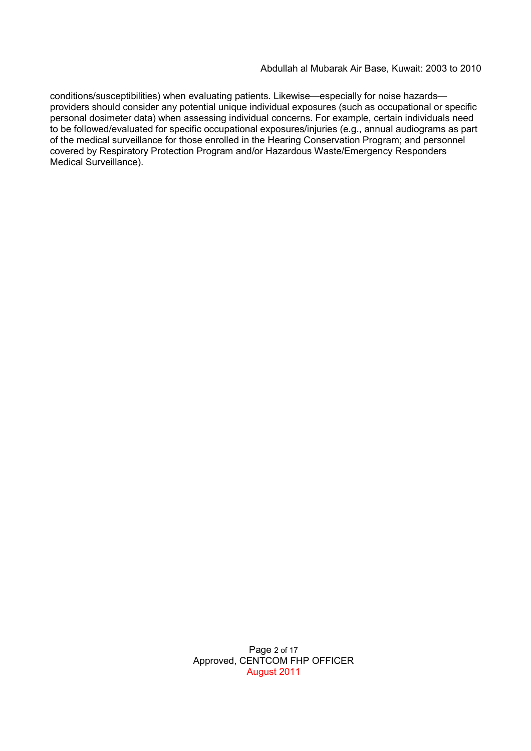conditions/susceptibilities) when evaluating patients. Likewise—especially for noise hazards providers should consider any potential unique individual exposures (such as occupational or specific personal dosimeter data) when assessing individual concerns. For example, certain individuals need to be followed/evaluated for specific occupational exposures/injuries (e.g., annual audiograms as part of the medical surveillance for those enrolled in the Hearing Conservation Program; and personnel covered by Respiratory Protection Program and/or Hazardous Waste/Emergency Responders Medical Surveillance).

> Page 2 of 17 Approved, CENTCOM FHP OFFICER August 2011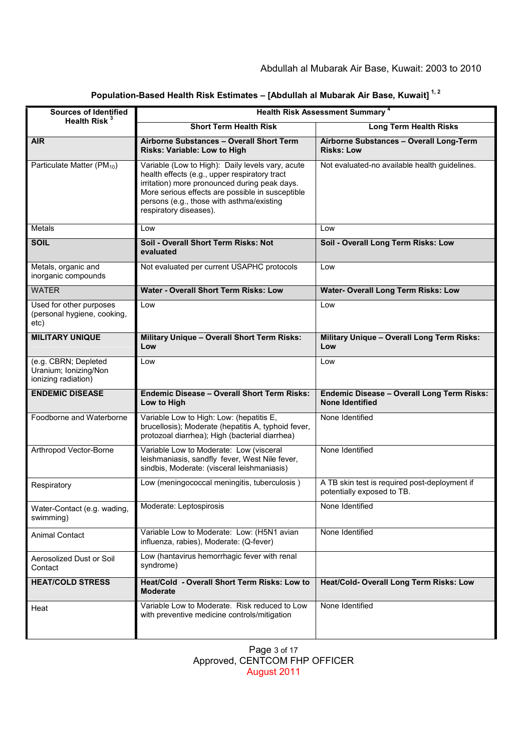| <b>Sources of Identified</b>                                         | <b>Health Risk Assessment Summary 4</b>                                                                                                                                                                                                                                       |                                                                             |  |
|----------------------------------------------------------------------|-------------------------------------------------------------------------------------------------------------------------------------------------------------------------------------------------------------------------------------------------------------------------------|-----------------------------------------------------------------------------|--|
| Health Risk <sup>3</sup>                                             | <b>Short Term Health Risk</b>                                                                                                                                                                                                                                                 | <b>Long Term Health Risks</b>                                               |  |
| <b>AIR</b>                                                           | Airborne Substances - Overall Short Term<br>Risks: Variable: Low to High                                                                                                                                                                                                      | Airborne Substances - Overall Long-Term<br><b>Risks: Low</b>                |  |
| Particulate Matter (PM <sub>10</sub> )                               | Variable (Low to High): Daily levels vary, acute<br>health effects (e.g., upper respiratory tract<br>irritation) more pronounced during peak days.<br>More serious effects are possible in susceptible<br>persons (e.g., those with asthma/existing<br>respiratory diseases). | Not evaluated-no available health guidelines.                               |  |
| Metals                                                               | Low                                                                                                                                                                                                                                                                           | Low                                                                         |  |
| <b>SOIL</b>                                                          | Soil - Overall Short Term Risks: Not<br>evaluated                                                                                                                                                                                                                             | Soil - Overall Long Term Risks: Low                                         |  |
| Metals, organic and<br>inorganic compounds                           | Not evaluated per current USAPHC protocols                                                                                                                                                                                                                                    | Low                                                                         |  |
| <b>WATER</b>                                                         | <b>Water - Overall Short Term Risks: Low</b>                                                                                                                                                                                                                                  | <b>Water- Overall Long Term Risks: Low</b>                                  |  |
| Used for other purposes<br>(personal hygiene, cooking,<br>etc)       | Low                                                                                                                                                                                                                                                                           | Low                                                                         |  |
| <b>MILITARY UNIQUE</b>                                               | Military Unique - Overall Short Term Risks:<br>Low                                                                                                                                                                                                                            | Military Unique - Overall Long Term Risks:<br>Low                           |  |
| (e.g. CBRN; Depleted<br>Uranium; Ionizing/Non<br>ionizing radiation) | Low                                                                                                                                                                                                                                                                           | Low                                                                         |  |
| <b>ENDEMIC DISEASE</b>                                               | <b>Endemic Disease - Overall Short Term Risks:</b><br>Low to High                                                                                                                                                                                                             | <b>Endemic Disease - Overall Long Term Risks:</b><br><b>None Identified</b> |  |
| Foodborne and Waterborne                                             | Variable Low to High: Low: (hepatitis E,<br>brucellosis); Moderate (hepatitis A, typhoid fever,<br>protozoal diarrhea); High (bacterial diarrhea)                                                                                                                             | None Identified                                                             |  |
| Arthropod Vector-Borne                                               | Variable Low to Moderate: Low (visceral<br>leishmaniasis, sandfly fever, West Nile fever,<br>sindbis, Moderate: (visceral leishmaniasis)                                                                                                                                      | None Identified                                                             |  |
| Respiratory                                                          | Low (meningococcal meningitis, tuberculosis)                                                                                                                                                                                                                                  | A TB skin test is required post-deployment if<br>potentially exposed to TB. |  |
| Water-Contact (e.g. wading,<br>swimming)                             | Moderate: Leptospirosis                                                                                                                                                                                                                                                       | None Identified                                                             |  |
| <b>Animal Contact</b>                                                | Variable Low to Moderate: Low: (H5N1 avian<br>influenza, rabies), Moderate: (Q-fever)                                                                                                                                                                                         | None Identified                                                             |  |
| Aerosolized Dust or Soil<br>Contact                                  | Low (hantavirus hemorrhagic fever with renal<br>syndrome)                                                                                                                                                                                                                     |                                                                             |  |
| <b>HEAT/COLD STRESS</b>                                              | Heat/Cold - Overall Short Term Risks: Low to<br><b>Moderate</b>                                                                                                                                                                                                               | Heat/Cold- Overall Long Term Risks: Low                                     |  |
| Heat                                                                 | Variable Low to Moderate. Risk reduced to Low<br>with preventive medicine controls/mitigation                                                                                                                                                                                 | None Identified                                                             |  |

# **Population-Based Health Risk Estimates – [Abdullah al Mubarak Air Base, Kuwait] 1, 2**

Page 3 of 17 Approved, CENTCOM FHP OFFICER August 2011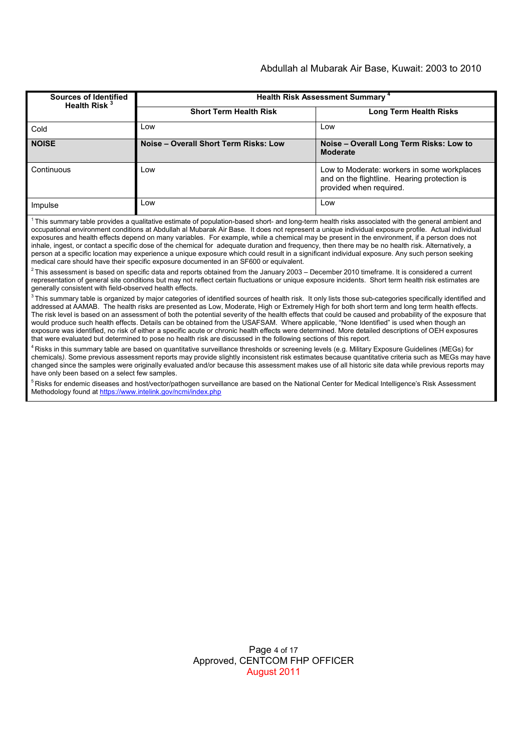#### Abdullah al Mubarak Air Base, Kuwait: 2003 to 2010

| Sources of Identified<br>Health Risk <sup>3</sup> | <b>Health Risk Assessment Summary 4</b> |                                                                                                                        |  |
|---------------------------------------------------|-----------------------------------------|------------------------------------------------------------------------------------------------------------------------|--|
|                                                   | <b>Short Term Health Risk</b>           | <b>Long Term Health Risks</b>                                                                                          |  |
| Cold                                              | Low                                     | Low                                                                                                                    |  |
| <b>NOISE</b>                                      | Noise - Overall Short Term Risks: Low   | Noise - Overall Long Term Risks: Low to<br><b>Moderate</b>                                                             |  |
| Continuous                                        | Low                                     | Low to Moderate: workers in some workplaces<br>and on the flightline. Hearing protection is<br>provided when required. |  |
| Impulse                                           | Low                                     | Low                                                                                                                    |  |

 $1$ This summary table provides a qualitative estimate of population-based short- and long-term health risks associated with the general ambient and occupational environment conditions at Abdullah al Mubarak Air Base. It does not represent a unique individual exposure profile. Actual individual exposures and health effects depend on many variables. For example, while a chemical may be present in the environment, if a person does not inhale, ingest, or contact a specific dose of the chemical for adequate duration and frequency, then there may be no health risk. Alternatively, a person at a specific location may experience a unique exposure which could result in a significant individual exposure. Any such person seeking medical care should have their specific exposure documented in an SF600 or equivalent.

 $^2$ This assessment is based on specific data and reports obtained from the January 2003 – December 2010 timeframe. It is considered a current representation of general site conditions but may not reflect certain fluctuations or unique exposure incidents. Short term health risk estimates are generally consistent with field-observed health effects.

 $3$  This summary table is organized by major categories of identified sources of health risk. It only lists those sub-categories specifically identified and addressed at AAMAB. The health risks are presented as Low, Moderate, High or Extremely High for both short term and long term health effects. The risk level is based on an assessment of both the potential severity of the health effects that could be caused and probability of the exposure that would produce such health effects. Details can be obtained from the USAFSAM. Where applicable, "None Identified" is used when though an exposure was identified, no risk of either a specific acute or chronic health effects were determined. More detailed descriptions of OEH exposures that were evaluated but determined to pose no health risk are discussed in the following sections of this report.

<sup>4</sup> Risks in this summary table are based on quantitative surveillance thresholds or screening levels (e.g. Military Exposure Guidelines (MEGs) for chemicals*).* Some previous assessment reports may provide slightly inconsistent risk estimates because quantitative criteria such as MEGs may have changed since the samples were originally evaluated and/or because this assessment makes use of all historic site data while previous reports may have only been based on a select few samples.

<sup>5</sup> Risks for endemic diseases and host/vector/pathogen surveillance are based on the National Center for Medical Intelligence's Risk Assessment Methodology found at https://www.intelink.gov/ncmi/index.php

> Page 4 of 17 Approved, CENTCOM FHP OFFICER August 2011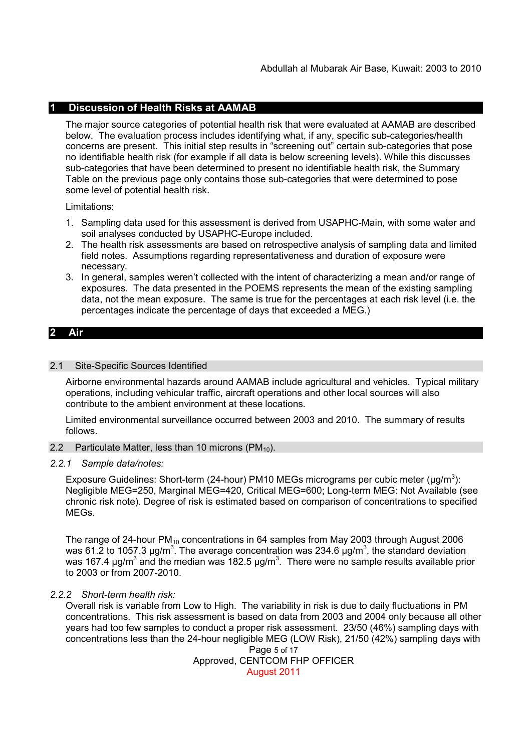## **1 Discussion of Health Risks at AAMAB**

The major source categories of potential health risk that were evaluated at AAMAB are described below. The evaluation process includes identifying what, if any, specific sub-categories/health concerns are present. This initial step results in "screening out" certain sub-categories that pose no identifiable health risk (for example if all data is below screening levels). While this discusses sub-categories that have been determined to present no identifiable health risk, the Summary Table on the previous page only contains those sub-categories that were determined to pose some level of potential health risk.

Limitations:

- 1. Sampling data used for this assessment is derived from USAPHC-Main, with some water and soil analyses conducted by USAPHC-Europe included.
- 2. The health risk assessments are based on retrospective analysis of sampling data and limited field notes. Assumptions regarding representativeness and duration of exposure were necessary.
- 3. In general, samples weren't collected with the intent of characterizing a mean and/or range of exposures. The data presented in the POEMS represents the mean of the existing sampling data, not the mean exposure. The same is true for the percentages at each risk level (i.e. the percentages indicate the percentage of days that exceeded a MEG.)

### **2 Air**

### 2.1 Site-Specific Sources Identified

Airborne environmental hazards around AAMAB include agricultural and vehicles. Typical military operations, including vehicular traffic, aircraft operations and other local sources will also contribute to the ambient environment at these locations.

Limited environmental surveillance occurred between 2003 and 2010. The summary of results follows.

- 2.2 Particulate Matter, less than 10 microns  $(PM_{10})$ .
- *2.2.1 Sample data/notes:*

Exposure Guidelines: Short-term (24-hour) PM10 MEGs micrograms per cubic meter ( $\mu$ g/m<sup>3</sup>): Negligible MEG=250, Marginal MEG=420, Critical MEG=600; Long-term MEG: Not Available (see chronic risk note). Degree of risk is estimated based on comparison of concentrations to specified MEGs.

The range of 24-hour PM<sub>10</sub> concentrations in 64 samples from May 2003 through August 2006 was 61.2 to 1057.3 μg/m<sup>3</sup>. The average concentration was 234.6 μg/m<sup>3</sup>, the standard deviation was 167.4 μg/m<sup>3</sup> and the median was 182.5 μg/m<sup>3</sup>. There were no sample results available prior to 2003 or from 2007-2010.

### *2.2.2 Short-term health risk:*

Overall risk is variable from Low to High. The variability in risk is due to daily fluctuations in PM concentrations. This risk assessment is based on data from 2003 and 2004 only because all other years had too few samples to conduct a proper risk assessment. 23/50 (46%) sampling days with concentrations less than the 24-hour negligible MEG (LOW Risk), 21/50 (42%) sampling days with

Page 5 of 17 Approved, CENTCOM FHP OFFICER August 2011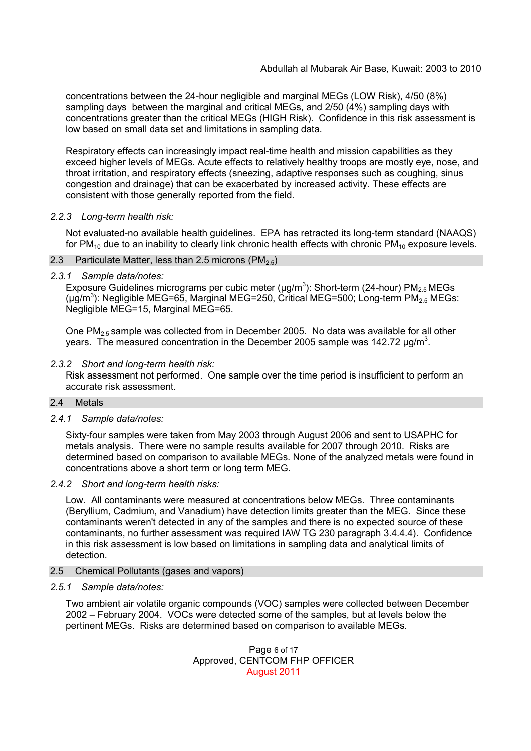concentrations between the 24-hour negligible and marginal MEGs (LOW Risk), 4/50 (8%) sampling days between the marginal and critical MEGs, and 2/50 (4%) sampling days with concentrations greater than the critical MEGs (HIGH Risk). Confidence in this risk assessment is low based on small data set and limitations in sampling data.

Respiratory effects can increasingly impact real-time health and mission capabilities as they exceed higher levels of MEGs. Acute effects to relatively healthy troops are mostly eye, nose, and throat irritation, and respiratory effects (sneezing, adaptive responses such as coughing, sinus congestion and drainage) that can be exacerbated by increased activity. These effects are consistent with those generally reported from the field.

### *2.2.3 Long-term health risk:*

Not evaluated-no available health guidelines. EPA has retracted its long-term standard (NAAQS) for PM<sub>10</sub> due to an inability to clearly link chronic health effects with chronic PM<sub>10</sub> exposure levels.

- 2.3 Particulate Matter, less than 2.5 microns  $(PM_{2.5})$
- *2.3.1 Sample data/notes:*

Exposure Guidelines micrograms per cubic meter ( $\mu$ g/m<sup>3</sup>): Short-term (24-hour) PM<sub>2.5</sub>MEGs (µg/m<sup>3</sup>): Negligible MEG=65, Marginal MEG=250, Critical MEG=500; Long-term PM<sub>2.5</sub> MEGs: Negligible MEG=15, Marginal MEG=65.

One  $PM_{2.5}$  sample was collected from in December 2005. No data was available for all other years. The measured concentration in the December 2005 sample was 142.72  $\mu$ g/m<sup>3</sup>.

### *2.3.2 Short and long-term health risk:*

Risk assessment not performed. One sample over the time period is insufficient to perform an accurate risk assessment.

### 2.4 Metals

### *2.4.1 Sample data/notes:*

Sixty-four samples were taken from May 2003 through August 2006 and sent to USAPHC for metals analysis. There were no sample results available for 2007 through 2010. Risks are determined based on comparison to available MEGs. None of the analyzed metals were found in concentrations above a short term or long term MEG.

### *2.4.2 Short and long-term health risks:*

Low. All contaminants were measured at concentrations below MEGs. Three contaminants (Beryllium, Cadmium, and Vanadium) have detection limits greater than the MEG. Since these contaminants weren't detected in any of the samples and there is no expected source of these contaminants, no further assessment was required IAW TG 230 paragraph 3.4.4.4). Confidence in this risk assessment is low based on limitations in sampling data and analytical limits of detection.

### 2.5 Chemical Pollutants (gases and vapors)

### *2.5.1 Sample data/notes:*

Two ambient air volatile organic compounds (VOC) samples were collected between December 2002 – February 2004. VOCs were detected some of the samples, but at levels below the pertinent MEGs. Risks are determined based on comparison to available MEGs.

> Page 6 of 17 Approved, CENTCOM FHP OFFICER August 2011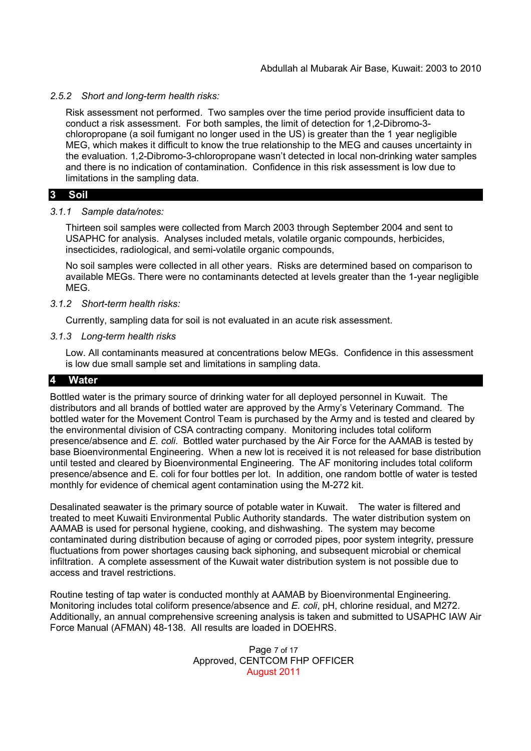### *2.5.2 Short and long-term health risks:*

Risk assessment not performed. Two samples over the time period provide insufficient data to conduct a risk assessment. For both samples, the limit of detection for 1,2-Dibromo-3 chloropropane (a soil fumigant no longer used in the US) is greater than the 1 year negligible MEG, which makes it difficult to know the true relationship to the MEG and causes uncertainty in the evaluation. 1,2-Dibromo-3-chloropropane wasn't detected in local non-drinking water samples and there is no indication of contamination. Confidence in this risk assessment is low due to limitations in the sampling data.

### **3 Soil**

### *3.1.1 Sample data/notes:*

Thirteen soil samples were collected from March 2003 through September 2004 and sent to USAPHC for analysis. Analyses included metals, volatile organic compounds, herbicides, insecticides, radiological, and semi-volatile organic compounds,

No soil samples were collected in all other years. Risks are determined based on comparison to available MEGs. There were no contaminants detected at levels greater than the 1-year negligible MEG.

### *3.1.2 Short-term health risks:*

Currently, sampling data for soil is not evaluated in an acute risk assessment.

### *3.1.3 Long-term health risks*

Low. All contaminants measured at concentrations below MEGs. Confidence in this assessment is low due small sample set and limitations in sampling data.

## **4 Water**

Bottled water is the primary source of drinking water for all deployed personnel in Kuwait. The distributors and all brands of bottled water are approved by the Army's Veterinary Command. The bottled water for the Movement Control Team is purchased by the Army and is tested and cleared by the environmental division of CSA contracting company. Monitoring includes total coliform presence/absence and *E. coli*. Bottled water purchased by the Air Force for the AAMAB is tested by base Bioenvironmental Engineering. When a new lot is received it is not released for base distribution until tested and cleared by Bioenvironmental Engineering. The AF monitoring includes total coliform presence/absence and E. coli for four bottles per lot. In addition, one random bottle of water is tested monthly for evidence of chemical agent contamination using the M-272 kit.

Desalinated seawater is the primary source of potable water in Kuwait. The water is filtered and treated to meet Kuwaiti Environmental Public Authority standards. The water distribution system on AAMAB is used for personal hygiene, cooking, and dishwashing. The system may become contaminated during distribution because of aging or corroded pipes, poor system integrity, pressure fluctuations from power shortages causing back siphoning, and subsequent microbial or chemical infiltration. A complete assessment of the Kuwait water distribution system is not possible due to access and travel restrictions.

Routine testing of tap water is conducted monthly at AAMAB by Bioenvironmental Engineering. Monitoring includes total coliform presence/absence and *E. coli*, pH, chlorine residual, and M272. Additionally, an annual comprehensive screening analysis is taken and submitted to USAPHC IAW Air Force Manual (AFMAN) 48-138. All results are loaded in DOEHRS.

> Page 7 of 17 Approved, CENTCOM FHP OFFICER August 2011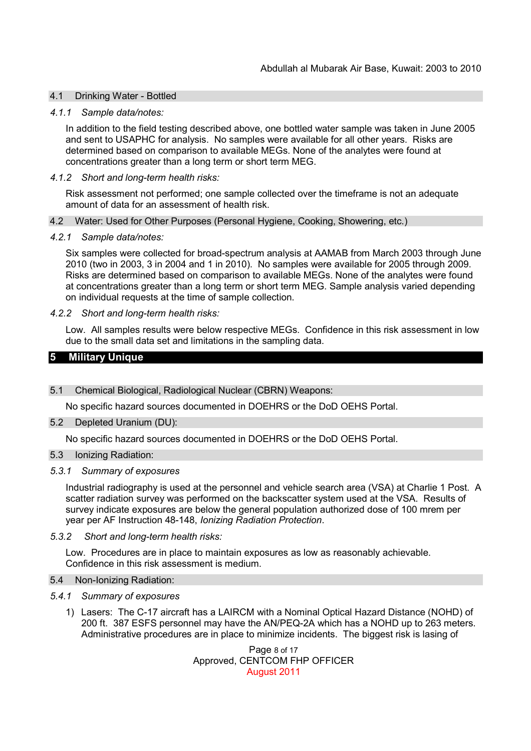### 4.1 Drinking Water - Bottled

#### *4.1.1 Sample data/notes:*

In addition to the field testing described above, one bottled water sample was taken in June 2005 and sent to USAPHC for analysis. No samples were available for all other years. Risks are determined based on comparison to available MEGs. None of the analytes were found at concentrations greater than a long term or short term MEG.

#### *4.1.2 Short and long-term health risks:*

Risk assessment not performed; one sample collected over the timeframe is not an adequate amount of data for an assessment of health risk.

#### 4.2 Water: Used for Other Purposes (Personal Hygiene, Cooking, Showering, etc.)

#### *4.2.1 Sample data/notes:*

Six samples were collected for broad-spectrum analysis at AAMAB from March 2003 through June 2010 (two in 2003, 3 in 2004 and 1 in 2010). No samples were available for 2005 through 2009. Risks are determined based on comparison to available MEGs. None of the analytes were found at concentrations greater than a long term or short term MEG. Sample analysis varied depending on individual requests at the time of sample collection.

#### *4.2.2 Short and long-term health risks:*

Low. All samples results were below respective MEGs. Confidence in this risk assessment in low due to the small data set and limitations in the sampling data.

### **5 Military Unique**

#### 5.1 Chemical Biological, Radiological Nuclear (CBRN) Weapons:

No specific hazard sources documented in DOEHRS or the DoD OEHS Portal.

#### 5.2 Depleted Uranium (DU):

No specific hazard sources documented in DOEHRS or the DoD OEHS Portal.

#### 5.3 Ionizing Radiation:

### *5.3.1 Summary of exposures*

Industrial radiography is used at the personnel and vehicle search area (VSA) at Charlie 1 Post. A scatter radiation survey was performed on the backscatter system used at the VSA. Results of survey indicate exposures are below the general population authorized dose of 100 mrem per year per AF Instruction 48-148, *Ionizing Radiation Protection*.

#### *5.3.2 Short and long-term health risks:*

Low. Procedures are in place to maintain exposures as low as reasonably achievable. Confidence in this risk assessment is medium.

#### 5.4 Non-Ionizing Radiation:

### *5.4.1 Summary of exposures*

1) Lasers: The C-17 aircraft has a LAIRCM with a Nominal Optical Hazard Distance (NOHD) of 200 ft. 387 ESFS personnel may have the AN/PEQ-2A which has a NOHD up to 263 meters. Administrative procedures are in place to minimize incidents. The biggest risk is lasing of

> Page 8 of 17 Approved, CENTCOM FHP OFFICER August 2011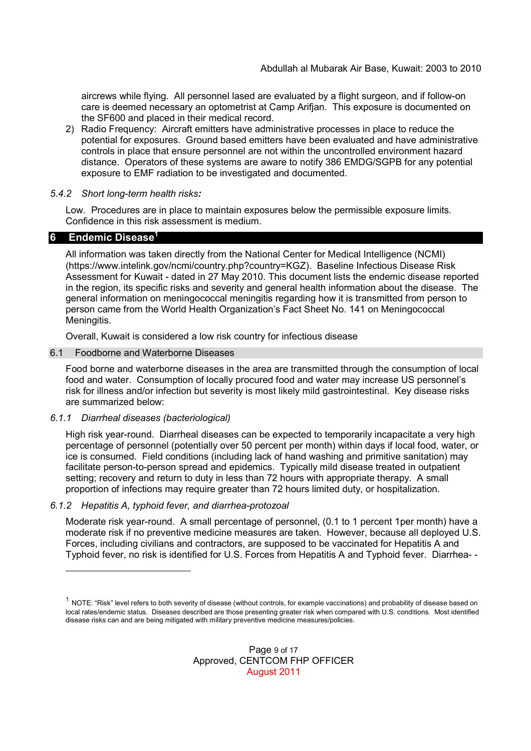aircrews while flying. All personnel lased are evaluated by a flight surgeon, and if follow-on care is deemed necessary an optometrist at Camp Arifjan. This exposure is documented on the SF600 and placed in their medical record.

2) Radio Frequency: Aircraft emitters have administrative processes in place to reduce the potential for exposures. Ground based emitters have been evaluated and have administrative controls in place that ensure personnel are not within the uncontrolled environment hazard distance. Operators of these systems are aware to notify 386 EMDG/SGPB for any potential exposure to EMF radiation to be investigated and documented.

#### *5.4.2 Short long-term health risks:*

Low. Procedures are in place to maintain exposures below the permissible exposure limits. Confidence in this risk assessment is medium.

### **6 Endemic Disease<sup>1</sup>**

All information was taken directly from the National Center for Medical Intelligence (NCMI) (https://www.intelink.gov/ncmi/country.php?country=KGZ). Baseline Infectious Disease Risk Assessment for Kuwait - dated in 27 May 2010. This document lists the endemic disease reported in the region, its specific risks and severity and general health information about the disease. The general information on meningococcal meningitis regarding how it is transmitted from person to person came from the World Health Organization's Fact Sheet No. 141 on Meningococcal Meningitis.

Overall, Kuwait is considered a low risk country for infectious disease

#### 6.1 Foodborne and Waterborne Diseases

Food borne and waterborne diseases in the area are transmitted through the consumption of local food and water. Consumption of locally procured food and water may increase US personnel's risk for illness and/or infection but severity is most likely mild gastrointestinal. Key disease risks are summarized below:

### *6.1.1 Diarrheal diseases (bacteriological)*

High risk year-round. Diarrheal diseases can be expected to temporarily incapacitate a very high percentage of personnel (potentially over 50 percent per month) within days if local food, water, or ice is consumed. Field conditions (including lack of hand washing and primitive sanitation) may facilitate person-to-person spread and epidemics. Typically mild disease treated in outpatient setting; recovery and return to duty in less than 72 hours with appropriate therapy. A small proportion of infections may require greater than 72 hours limited duty, or hospitalization.

### *6.1.2 Hepatitis A, typhoid fever, and diarrhea-protozoal*

Moderate risk year-round. A small percentage of personnel, (0.1 to 1 percent 1per month) have a moderate risk if no preventive medicine measures are taken. However, because all deployed U.S. Forces, including civilians and contractors, are supposed to be vaccinated for Hepatitis A and Typhoid fever, no risk is identified for U.S. Forces from Hepatitis A and Typhoid fever. Diarrhea- -

 $^1$  NOTE: "Risk" level refers to both severity of disease (without controls, for example vaccinations) and probability of disease based on local rates/endemic status. Diseases described are those presenting greater risk when compared with U.S. conditions. Most identified disease risks can and are being mitigated with military preventive medicine measures/policies.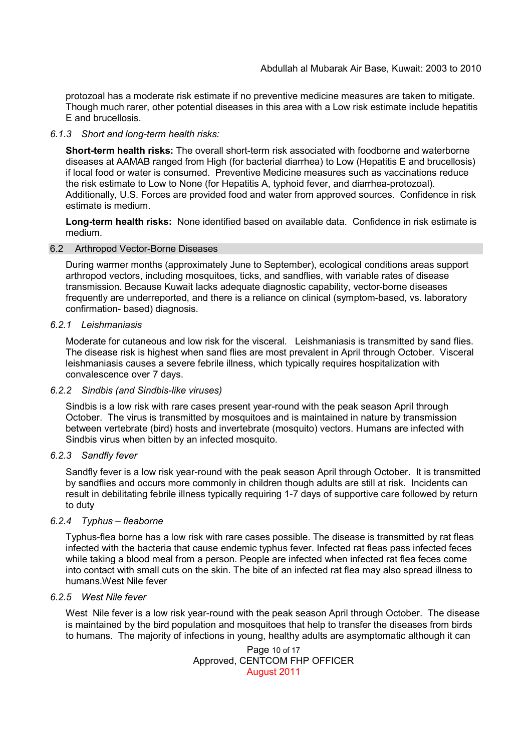protozoal has a moderate risk estimate if no preventive medicine measures are taken to mitigate. Though much rarer, other potential diseases in this area with a Low risk estimate include hepatitis E and brucellosis.

### *6.1.3 Short and long-term health risks:*

**Short-term health risks:** The overall short-term risk associated with foodborne and waterborne diseases at AAMAB ranged from High (for bacterial diarrhea) to Low (Hepatitis E and brucellosis) if local food or water is consumed. Preventive Medicine measures such as vaccinations reduce the risk estimate to Low to None (for Hepatitis A, typhoid fever, and diarrhea-protozoal). Additionally, U.S. Forces are provided food and water from approved sources. Confidence in risk estimate is medium.

**Long-term health risks:** None identified based on available data. Confidence in risk estimate is medium.

### 6.2 Arthropod Vector-Borne Diseases

During warmer months (approximately June to September), ecological conditions areas support arthropod vectors, including mosquitoes, ticks, and sandflies, with variable rates of disease transmission. Because Kuwait lacks adequate diagnostic capability, vector-borne diseases frequently are underreported, and there is a reliance on clinical (symptom-based, vs. laboratory confirmation- based) diagnosis.

### *6.2.1 Leishmaniasis*

Moderate for cutaneous and low risk for the visceral. Leishmaniasis is transmitted by sand flies. The disease risk is highest when sand flies are most prevalent in April through October. Visceral leishmaniasis causes a severe febrile illness, which typically requires hospitalization with convalescence over 7 days.

### *6.2.2 Sindbis (and Sindbis-like viruses)*

Sindbis is a low risk with rare cases present year-round with the peak season April through October. The virus is transmitted by mosquitoes and is maintained in nature by transmission between vertebrate (bird) hosts and invertebrate (mosquito) vectors. Humans are infected with Sindbis virus when bitten by an infected mosquito.

## *6.2.3 Sandfly fever*

Sandfly fever is a low risk year-round with the peak season April through October. It is transmitted by sandflies and occurs more commonly in children though adults are still at risk. Incidents can result in debilitating febrile illness typically requiring 1-7 days of supportive care followed by return to duty

## *6.2.4 Typhus – fleaborne*

Typhus-flea borne has a low risk with rare cases possible. The disease is transmitted by rat fleas infected with the bacteria that cause endemic typhus fever. Infected rat fleas pass infected feces while taking a blood meal from a person. People are infected when infected rat flea feces come into contact with small cuts on the skin. The bite of an infected rat flea may also spread illness to humans.West Nile fever

### *6.2.5 West Nile fever*

West Nile fever is a low risk year-round with the peak season April through October. The disease is maintained by the bird population and mosquitoes that help to transfer the diseases from birds to humans. The majority of infections in young, healthy adults are asymptomatic although it can

> Page 10 of 17 Approved, CENTCOM FHP OFFICER August 2011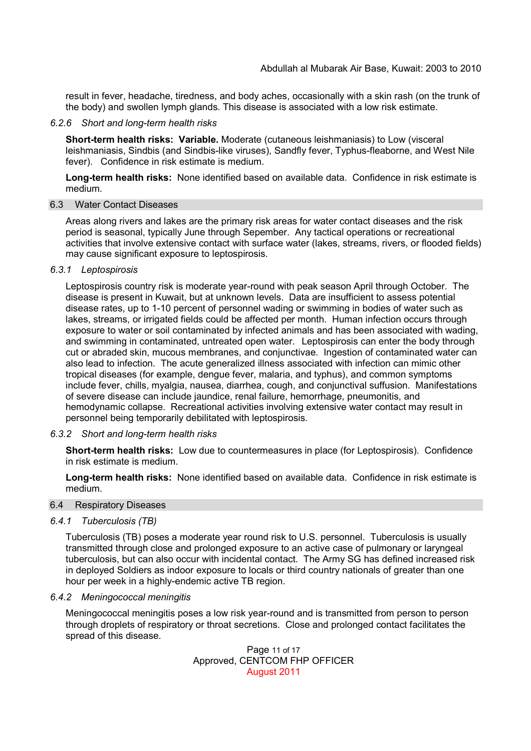result in fever, headache, tiredness, and body aches, occasionally with a skin rash (on the trunk of the body) and swollen lymph glands. This disease is associated with a low risk estimate.

### *6.2.6 Short and long-term health risks*

**Short-term health risks: Variable.** Moderate (cutaneous leishmaniasis) to Low (visceral leishmaniasis, Sindbis (and Sindbis-like viruses), Sandfly fever, Typhus-fleaborne, and West Nile fever). Confidence in risk estimate is medium.

**Long-term health risks:** None identified based on available data. Confidence in risk estimate is medium.

### 6.3 Water Contact Diseases

Areas along rivers and lakes are the primary risk areas for water contact diseases and the risk period is seasonal, typically June through Sepember. Any tactical operations or recreational activities that involve extensive contact with surface water (lakes, streams, rivers, or flooded fields) may cause significant exposure to leptospirosis.

### *6.3.1 Leptospirosis*

Leptospirosis country risk is moderate year-round with peak season April through October. The disease is present in Kuwait, but at unknown levels. Data are insufficient to assess potential disease rates, up to 1-10 percent of personnel wading or swimming in bodies of water such as lakes, streams, or irrigated fields could be affected per month. Human infection occurs through exposure to water or soil contaminated by infected animals and has been associated with wading, and swimming in contaminated, untreated open water. Leptospirosis can enter the body through cut or abraded skin, mucous membranes, and conjunctivae. Ingestion of contaminated water can also lead to infection. The acute generalized illness associated with infection can mimic other tropical diseases (for example, dengue fever, malaria, and typhus), and common symptoms include fever, chills, myalgia, nausea, diarrhea, cough, and conjunctival suffusion. Manifestations of severe disease can include jaundice, renal failure, hemorrhage, pneumonitis, and hemodynamic collapse. Recreational activities involving extensive water contact may result in personnel being temporarily debilitated with leptospirosis.

### *6.3.2 Short and long-term health risks*

**Short-term health risks:** Low due to countermeasures in place (for Leptospirosis). Confidence in risk estimate is medium.

**Long-term health risks:** None identified based on available data. Confidence in risk estimate is medium.

#### 6.4 Respiratory Diseases

### *6.4.1 Tuberculosis (TB)*

Tuberculosis (TB) poses a moderate year round risk to U.S. personnel. Tuberculosis is usually transmitted through close and prolonged exposure to an active case of pulmonary or laryngeal tuberculosis, but can also occur with incidental contact. The Army SG has defined increased risk in deployed Soldiers as indoor exposure to locals or third country nationals of greater than one hour per week in a highly-endemic active TB region.

#### *6.4.2 Meningococcal meningitis*

Meningococcal meningitis poses a low risk year-round and is transmitted from person to person through droplets of respiratory or throat secretions. Close and prolonged contact facilitates the spread of this disease.

> Page 11 of 17 Approved, CENTCOM FHP OFFICER August 2011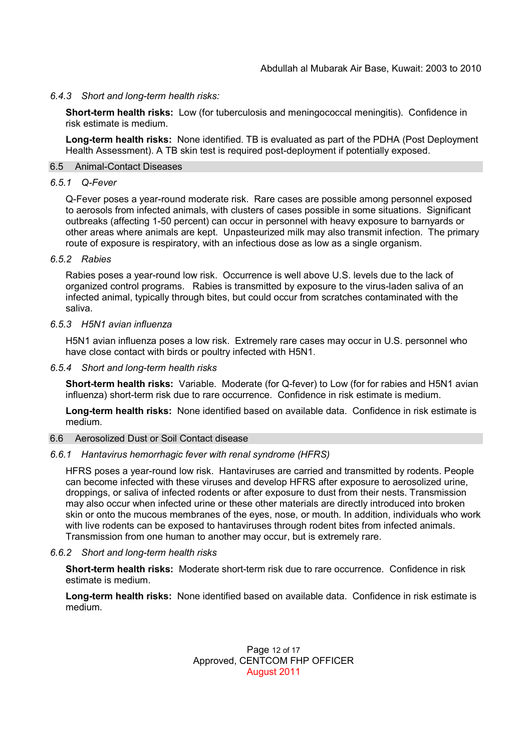### *6.4.3 Short and long-term health risks:*

**Short-term health risks:** Low (for tuberculosis and meningococcal meningitis). Confidence in risk estimate is medium.

**Long-term health risks:** None identified. TB is evaluated as part of the PDHA (Post Deployment Health Assessment). A TB skin test is required post-deployment if potentially exposed.

## 6.5 Animal-Contact Diseases

#### *6.5.1 Q-Fever*

Q-Fever poses a year-round moderate risk. Rare cases are possible among personnel exposed to aerosols from infected animals, with clusters of cases possible in some situations. Significant outbreaks (affecting 1-50 percent) can occur in personnel with heavy exposure to barnyards or other areas where animals are kept. Unpasteurized milk may also transmit infection. The primary route of exposure is respiratory, with an infectious dose as low as a single organism.

### *6.5.2 Rabies*

Rabies poses a year-round low risk. Occurrence is well above U.S. levels due to the lack of organized control programs. Rabies is transmitted by exposure to the virus-laden saliva of an infected animal, typically through bites, but could occur from scratches contaminated with the saliva.

#### *6.5.3 H5N1 avian influenza*

H5N1 avian influenza poses a low risk. Extremely rare cases may occur in U.S. personnel who have close contact with birds or poultry infected with H5N1.

*6.5.4 Short and long-term health risks*

**Short-term health risks:** Variable. Moderate (for Q-fever) to Low (for for rabies and H5N1 avian influenza) short-term risk due to rare occurrence. Confidence in risk estimate is medium.

**Long-term health risks:** None identified based on available data. Confidence in risk estimate is medium.

#### 6.6 Aerosolized Dust or Soil Contact disease

### *6.6.1 Hantavirus hemorrhagic fever with renal syndrome (HFRS)*

HFRS poses a year-round low risk. Hantaviruses are carried and transmitted by rodents. People can become infected with these viruses and develop HFRS after exposure to aerosolized urine, droppings, or saliva of infected rodents or after exposure to dust from their nests. Transmission may also occur when infected urine or these other materials are directly introduced into broken skin or onto the mucous membranes of the eyes, nose, or mouth. In addition, individuals who work with live rodents can be exposed to hantaviruses through rodent bites from infected animals. Transmission from one human to another may occur, but is extremely rare.

### *6.6.2 Short and long-term health risks*

**Short-term health risks:** Moderate short-term risk due to rare occurrence. Confidence in risk estimate is medium.

**Long-term health risks:** None identified based on available data. Confidence in risk estimate is medium.

### Page 12 of 17 Approved, CENTCOM FHP OFFICER August 2011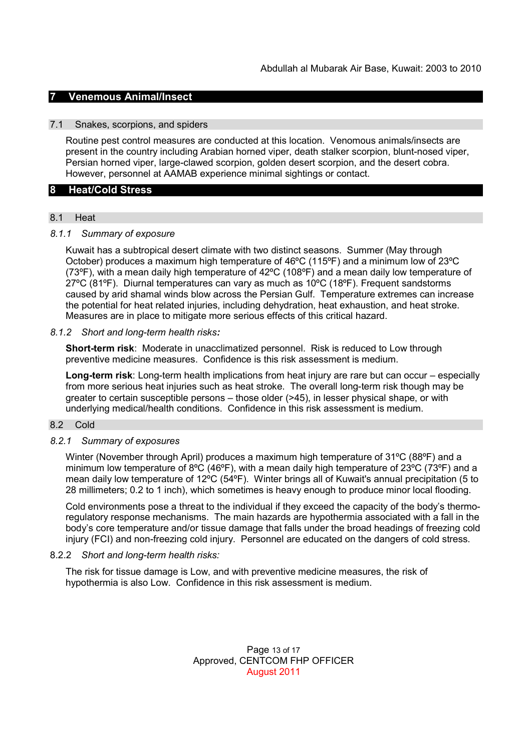## **7 Venemous Animal/Insect**

### 7.1 Snakes, scorpions, and spiders

Routine pest control measures are conducted at this location. Venomous animals/insects are present in the country including Arabian horned viper, death stalker scorpion, blunt-nosed viper, Persian horned viper, large-clawed scorpion, golden desert scorpion, and the desert cobra. However, personnel at AAMAB experience minimal sightings or contact.

### **8 Heat/Cold Stress**

#### 8.1 Heat

### *8.1.1 Summary of exposure*

Kuwait has a subtropical desert climate with two distinct seasons. Summer (May through October) produces a maximum high temperature of 46ºC (115ºF) and a minimum low of 23ºC (73ºF), with a mean daily high temperature of 42ºC (108ºF) and a mean daily low temperature of  $27^{\circ}$ C (81 $^{\circ}$ F). Diurnal temperatures can vary as much as 10 $^{\circ}$ C (18 $^{\circ}$ F). Frequent sandstorms caused by arid shamal winds blow across the Persian Gulf. Temperature extremes can increase the potential for heat related injuries, including dehydration, heat exhaustion, and heat stroke. Measures are in place to mitigate more serious effects of this critical hazard.

#### *8.1.2 Short and long-term health risks:*

**Short-term risk**: Moderate in unacclimatized personnel. Risk is reduced to Low through preventive medicine measures. Confidence is this risk assessment is medium.

**Long-term risk**: Long-term health implications from heat injury are rare but can occur – especially from more serious heat injuries such as heat stroke. The overall long-term risk though may be greater to certain susceptible persons  $-$  those older ( $>$ 45), in lesser physical shape, or with underlying medical/health conditions. Confidence in this risk assessment is medium.

## 8.2 Cold

#### *8.2.1 Summary of exposures*

Winter (November through April) produces a maximum high temperature of 31°C (88°F) and a minimum low temperature of 8°C (46°F), with a mean daily high temperature of 23°C (73°F) and a mean daily low temperature of 12ºC (54ºF). Winter brings all of Kuwait's annual precipitation (5 to 28 millimeters; 0.2 to 1 inch), which sometimes is heavy enough to produce minor local flooding.

Cold environments pose a threat to the individual if they exceed the capacity of the body's thermoregulatory response mechanisms. The main hazards are hypothermia associated with a fall in the body's core temperature and/or tissue damage that falls under the broad headings of freezing cold injury (FCI) and non-freezing cold injury. Personnel are educated on the dangers of cold stress.

### 8.2.2 *Short and long-term health risks:*

The risk for tissue damage is Low, and with preventive medicine measures, the risk of hypothermia is also Low. Confidence in this risk assessment is medium.

> Page 13 of 17 Approved, CENTCOM FHP OFFICER August 2011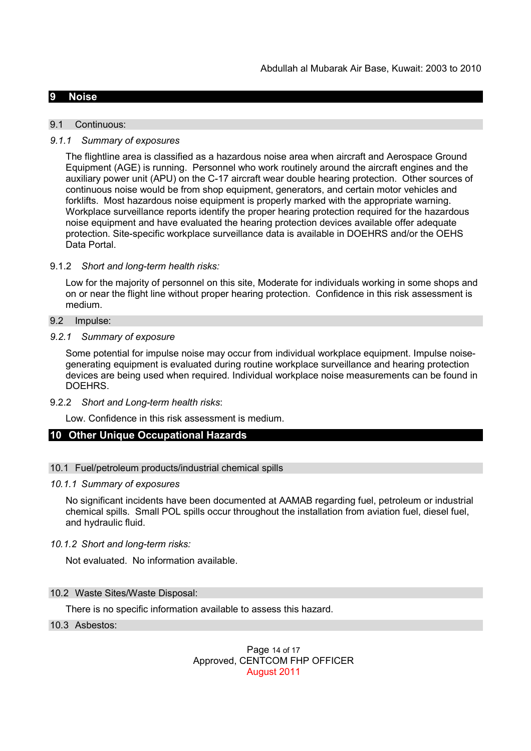### **9 Noise**

#### 9.1 Continuous:

### *9.1.1 Summary of exposures*

The flightline area is classified as a hazardous noise area when aircraft and Aerospace Ground Equipment (AGE) is running. Personnel who work routinely around the aircraft engines and the auxiliary power unit (APU) on the C-17 aircraft wear double hearing protection. Other sources of continuous noise would be from shop equipment, generators, and certain motor vehicles and forklifts. Most hazardous noise equipment is properly marked with the appropriate warning. Workplace surveillance reports identify the proper hearing protection required for the hazardous noise equipment and have evaluated the hearing protection devices available offer adequate protection. Site-specific workplace surveillance data is available in DOEHRS and/or the OEHS Data Portal.

### 9.1.2 *Short and long-term health risks:*

Low for the majority of personnel on this site, Moderate for individuals working in some shops and on or near the flight line without proper hearing protection. Confidence in this risk assessment is medium.

#### 9.2 Impulse:

### *9.2.1 Summary of exposure*

Some potential for impulse noise may occur from individual workplace equipment. Impulse noisegenerating equipment is evaluated during routine workplace surveillance and hearing protection devices are being used when required. Individual workplace noise measurements can be found in DOEHRS.

9.2.2 *Short and Long-term health risks*:

Low. Confidence in this risk assessment is medium.

### **10 Other Unique Occupational Hazards**

### 10.1 Fuel/petroleum products/industrial chemical spills

#### *10.1.1 Summary of exposures*

No significant incidents have been documented at AAMAB regarding fuel, petroleum or industrial chemical spills. Small POL spills occur throughout the installation from aviation fuel, diesel fuel, and hydraulic fluid.

### *10.1.2 Short and long-term risks:*

Not evaluated. No information available.

### 10.2 Waste Sites/Waste Disposal:

There is no specific information available to assess this hazard.

### 10.3 Asbestos:

### Page 14 of 17 Approved, CENTCOM FHP OFFICER August 2011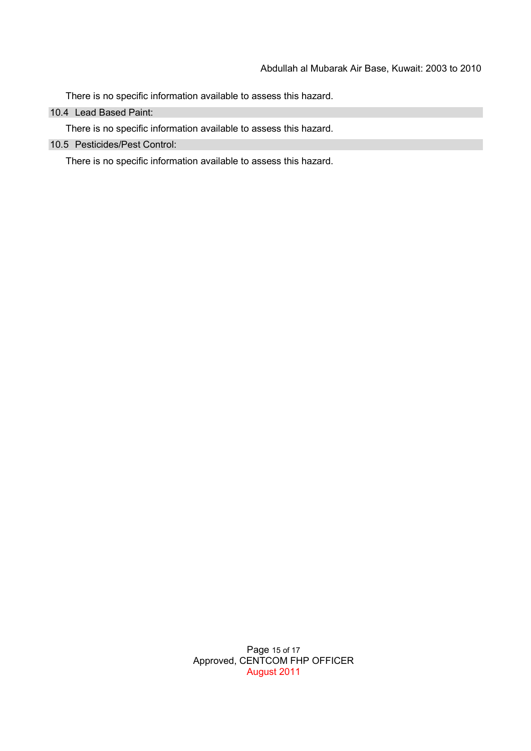There is no specific information available to assess this hazard.

10.4 Lead Based Paint:

There is no specific information available to assess this hazard.

10.5 Pesticides/Pest Control:

There is no specific information available to assess this hazard.

Page 15 of 17 Approved, CENTCOM FHP OFFICER August 2011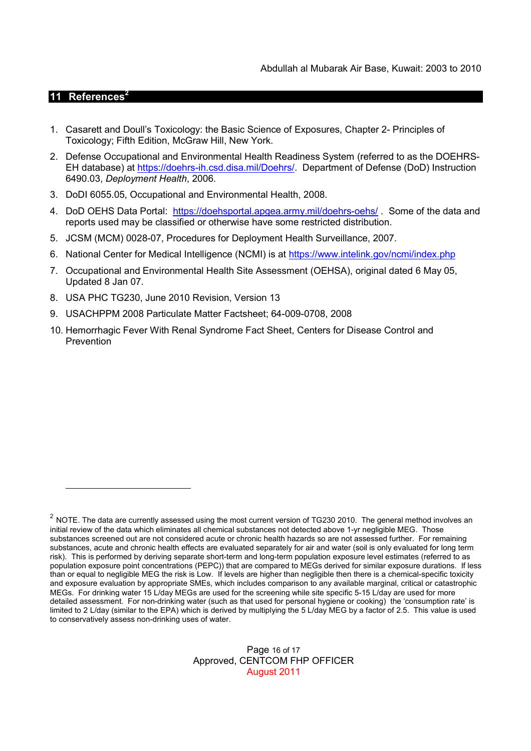## **11 References<sup>2</sup>**

- 1. Casarett and Doull's Toxicology: the Basic Science of Exposures, Chapter 2- Principles of Toxicology; Fifth Edition, McGraw Hill, New York.
- 2. Defense Occupational and Environmental Health Readiness System (referred to as the DOEHRS-EH database) at https://doehrs-ih.csd.disa.mil/Doehrs/. Department of Defense (DoD) Instruction 6490.03, *Deployment Health*, 2006.
- 3. DoDI 6055.05, Occupational and Environmental Health, 2008.
- 4. DoD OEHS Data Portal: https://doehsportal.apgea.army.mil/doehrs-oehs/. Some of the data and reports used may be classified or otherwise have some restricted distribution.
- 5. JCSM (MCM) 0028-07, Procedures for Deployment Health Surveillance, 2007.
- 6. National Center for Medical Intelligence (NCMI) is at https://www.intelink.gov/ncmi/index.php
- 7. Occupational and Environmental Health Site Assessment (OEHSA), original dated 6 May 05, Updated 8 Jan 07.
- 8. USA PHC TG230, June 2010 Revision, Version 13
- 9. USACHPPM 2008 Particulate Matter Factsheet; 64-009-0708, 2008
- 10. Hemorrhagic Fever With Renal Syndrome Fact Sheet, Centers for Disease Control and Prevention

#### Page 16 of 17 Approved, CENTCOM FHP OFFICER August 2011

 $^2$  NOTE. The data are currently assessed using the most current version of TG230 2010. The general method involves an initial review of the data which eliminates all chemical substances not detected above 1-yr negligible MEG. Those substances screened out are not considered acute or chronic health hazards so are not assessed further. For remaining substances, acute and chronic health effects are evaluated separately for air and water (soil is only evaluated for long term risk). This is performed by deriving separate short-term and long-term population exposure level estimates (referred to as population exposure point concentrations (PEPC)) that are compared to MEGs derived for similar exposure durations. If less than or equal to negligible MEG the risk is Low. If levels are higher than negligible then there is a chemical-specific toxicity and exposure evaluation by appropriate SMEs, which includes comparison to any available marginal, critical or catastrophic MEGs. For drinking water 15 L/day MEGs are used for the screening while site specific 5-15 L/day are used for more detailed assessment. For non-drinking water (such as that used for personal hygiene or cooking) the 'consumption rate' is limited to 2 L/day (similar to the EPA) which is derived by multiplying the 5 L/day MEG by a factor of 2.5. This value is used to conservatively assess non-drinking uses of water.